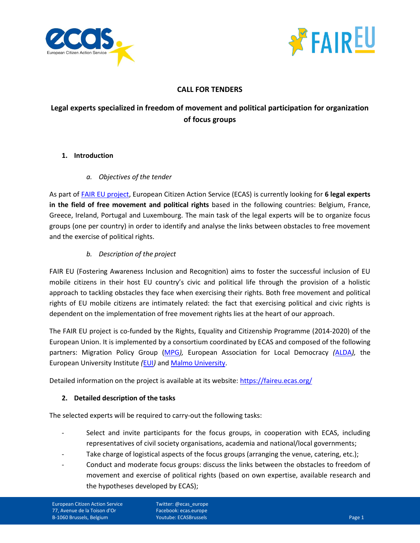



# **CALL FOR TENDERS**

# **Legal experts specialized in freedom of movement and political participation for organization of focus groups**

# **1. Introduction**

# *a. Objectives of the tender*

As part of [FAIR EU project,](https://faireu.ecas.org/) European Citizen Action Service (ECAS) is currently looking for **6 legal experts in the field of free movement and political rights** based in the following countries: Belgium, France, Greece, Ireland, Portugal and Luxembourg. The main task of the legal experts will be to organize focus groups (one per country) in order to identify and analyse the links between obstacles to free movement and the exercise of political rights.

# *b. Description of the project*

FAIR EU (Fostering Awareness Inclusion and Recognition) aims to foster the successful inclusion of EU mobile citizens in their host EU country's civic and political life through the provision of a holistic approach to tackling obstacles they face when exercising their rights. Both free movement and political rights of EU mobile citizens are intimately related: the fact that exercising political and civic rights is dependent on the implementation of free movement rights lies at the heart of our approach.

The FAIR EU project is co-funded by the Rights, Equality and Citizenship Programme (2014-2020) of the European Union. It is implemented by a consortium coordinated by ECAS and composed of the following partners: Migration Policy Group [\(MPG](http://www.migpolgroup.com/)*),* European Association for Local Democracy *(*[ALDA](http://www.alda-europe.eu/newSite/)*),* the European University Institute *(*[EUI](https://www.eui.eu/)*)* and Malmo [University.](https://www.mah.se/english)

Detailed information on the project is available at its website:<https://faireu.ecas.org/>

# **2. Detailed description of the tasks**

The selected experts will be required to carry-out the following tasks:

- Select and invite participants for the focus groups, in cooperation with ECAS, including representatives of civil society organisations, academia and national/local governments;
- Take charge of logistical aspects of the focus groups (arranging the venue, catering, etc.);
- Conduct and moderate focus groups: discuss the links between the obstacles to freedom of movement and exercise of political rights (based on own expertise, available research and the hypotheses developed by ECAS);

Twitter: @ecas\_europe Facebook: ecas.europe **Youtube: ECASBrussels** Page 1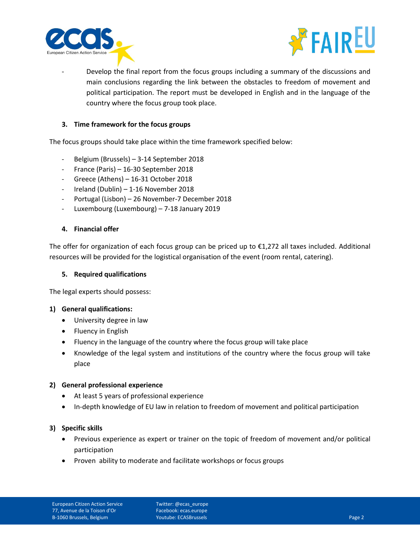



Develop the final report from the focus groups including a summary of the discussions and main conclusions regarding the link between the obstacles to freedom of movement and political participation. The report must be developed in English and in the language of the country where the focus group took place.

## **3. Time framework for the focus groups**

The focus groups should take place within the time framework specified below:

- Belgium (Brussels) 3-14 September 2018
- France (Paris) 16-30 September 2018
- Greece (Athens) 16-31 October 2018
- Ireland (Dublin) 1-16 November 2018
- Portugal (Lisbon) 26 November-7 December 2018
- Luxembourg (Luxembourg) 7-18 January 2019

#### **4. Financial offer**

The offer for organization of each focus group can be priced up to €1,272 all taxes included. Additional resources will be provided for the logistical organisation of the event (room rental, catering).

#### **5. Required qualifications**

The legal experts should possess:

### **1) General qualifications:**

- University degree in law
- Fluency in English
- Fluency in the language of the country where the focus group will take place
- Knowledge of the legal system and institutions of the country where the focus group will take place

### **2) General professional experience**

- At least 5 years of professional experience
- In-depth knowledge of EU law in relation to freedom of movement and political participation

### **3) Specific skills**

- Previous experience as expert or trainer on the topic of freedom of movement and/or political participation
- Proven ability to moderate and facilitate workshops or focus groups

Twitter: @ecas\_europe Facebook: ecas.europe Youtube: ECASBrussels Page 2